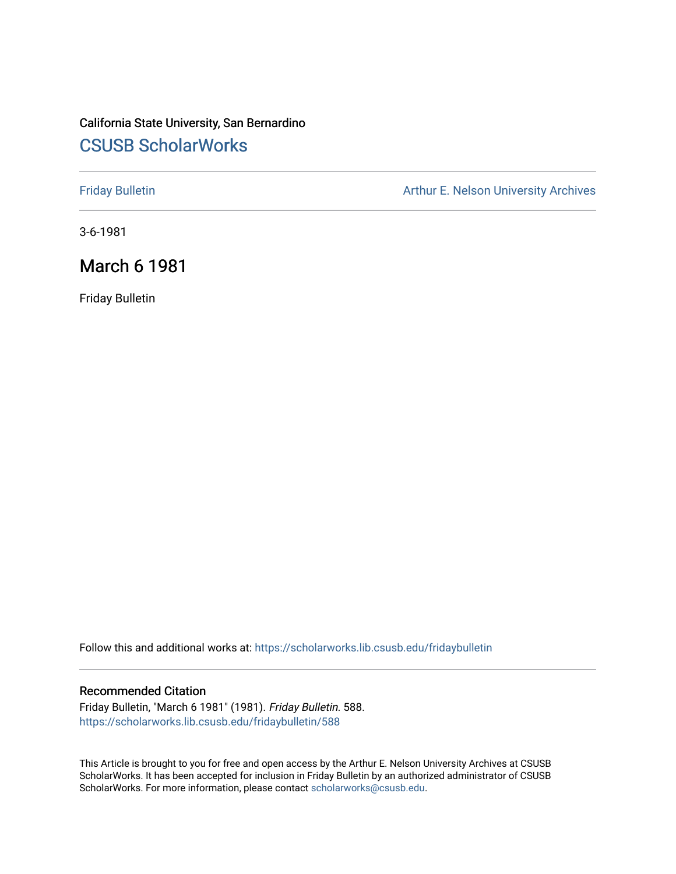# California State University, San Bernardino [CSUSB ScholarWorks](https://scholarworks.lib.csusb.edu/)

[Friday Bulletin](https://scholarworks.lib.csusb.edu/fridaybulletin) **Arthur E. Nelson University Archives** Arthur E. Nelson University Archives

3-6-1981

## March 6 1981

Friday Bulletin

Follow this and additional works at: [https://scholarworks.lib.csusb.edu/fridaybulletin](https://scholarworks.lib.csusb.edu/fridaybulletin?utm_source=scholarworks.lib.csusb.edu%2Ffridaybulletin%2F588&utm_medium=PDF&utm_campaign=PDFCoverPages)

### Recommended Citation

Friday Bulletin, "March 6 1981" (1981). Friday Bulletin. 588. [https://scholarworks.lib.csusb.edu/fridaybulletin/588](https://scholarworks.lib.csusb.edu/fridaybulletin/588?utm_source=scholarworks.lib.csusb.edu%2Ffridaybulletin%2F588&utm_medium=PDF&utm_campaign=PDFCoverPages)

This Article is brought to you for free and open access by the Arthur E. Nelson University Archives at CSUSB ScholarWorks. It has been accepted for inclusion in Friday Bulletin by an authorized administrator of CSUSB ScholarWorks. For more information, please contact [scholarworks@csusb.edu.](mailto:scholarworks@csusb.edu)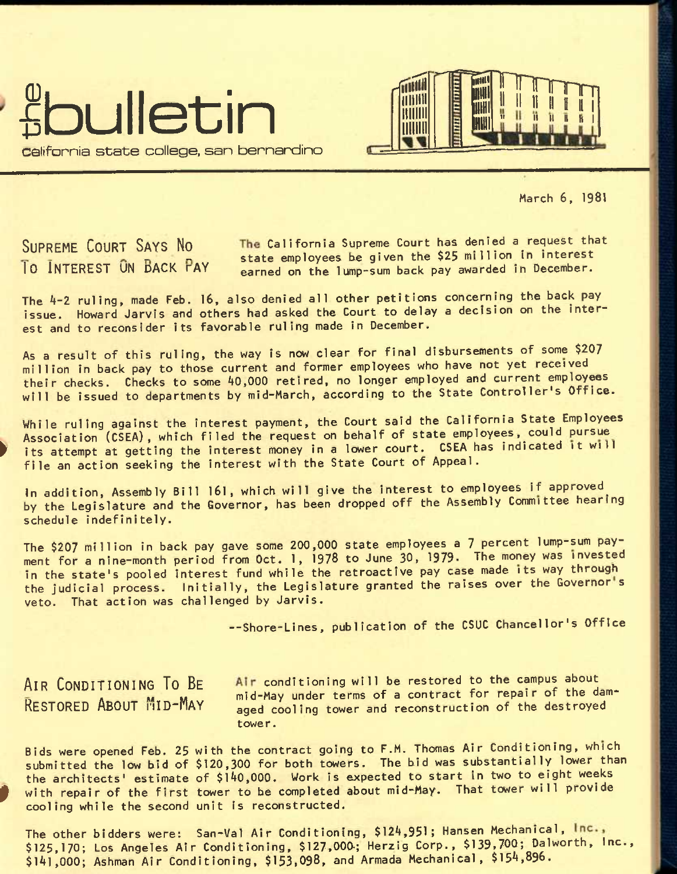

 $\overline{\phantom{1}}$ illilltll ttllllil **Times s production**<br>Excess production<br>Excess production<br>Excess production = pi **iiiTirirrii**  ell let " 1\* 11 H It 1

March 6, 1981

SUPREME COURT SAYS NO The California Supreme Court has denied a request that **EXECUTE SOUTH STATE AND STATE STATE STATES** state employees be given the \$25 million in interest. earned on the lump-sum back pay awarded in December.

The 4-2 ruling, made Feb. 16, also denied all other petitions concerning the back pay issue. Howard Jarvis and others had asked the Court to delay a decision on the interest and to reconsider its favorable ruling made in December.

As a result of this ruling, the way is now clear for final disbursements of some \$207 million in back pay to those current and former employees who have not yet received their checks. Checks to some 40,000 retired, no longer employed and current employees will be issued to departments by mid-March, according to the State Controller's Office.

While ruling against the interest payment, the Court said the California State Employees Association (CSEA), which filed the request on behalf of state employees, could pursue its attempt at getting the interest money in a lower court. CSEA has indicated it will file an action seeking the interest with the State Court of Appeal.

In addition. Assembly Bill 161, which will give the interest to employees if approved^ by the Legislature and the Governor, has been dropped off the Assembly Committee hearing schedule indefinitely.

The \$207 million in back pay gave some 200,000 state employees a 7 percent lump-sum payment for a nine-month period from Oct. 1, 1978 to June 30, 1979. The money was invested in the state's pooled Interest fund while the retroactive pay case made its way through the judicial process. Initially, the Legislature granted the raises over the Governor's veto. That action was challenged by Jarvis.

--Shore-Lines, publication of the CSUC Chancellor's Office

AIR CONDITIONING TO BE Air conditioning will be restored to the campus about  $R$  ESTORED ABOUT  $M$ ID-May  $M$  mid-May under terms of a contract for repair of the dam-<br>RESTORED ABOUT  $M$ ID-MAY aged cooling tower and reconstruction of the destroyed aged cooling tower and reconstruction of the destroyed tower.

Bids were opened Feb. 25 with the contract going to F.M. Thomas Air Conditioning, which submitted the low bid of \$120,300 for both towers. The bid was substantially lower than the architects' estimate of \$l40,000. Work is expected to start in two to eight weeks with repair of the first tower to be completed about mid-May. That tower will provide cooling while the second unit is reconstructed.

The other bidders were: San-Val Air Conditioning, \$124,951; Hansen Mechanical, \$125,170; Los Angeles Air Conditioning, \$127,000.; Herzig Corp., \$139,700; DaIworth, Inc., \$141,000; Ashman Air Conditioning, \$153,098, and Armada Mechanical, \$154,896.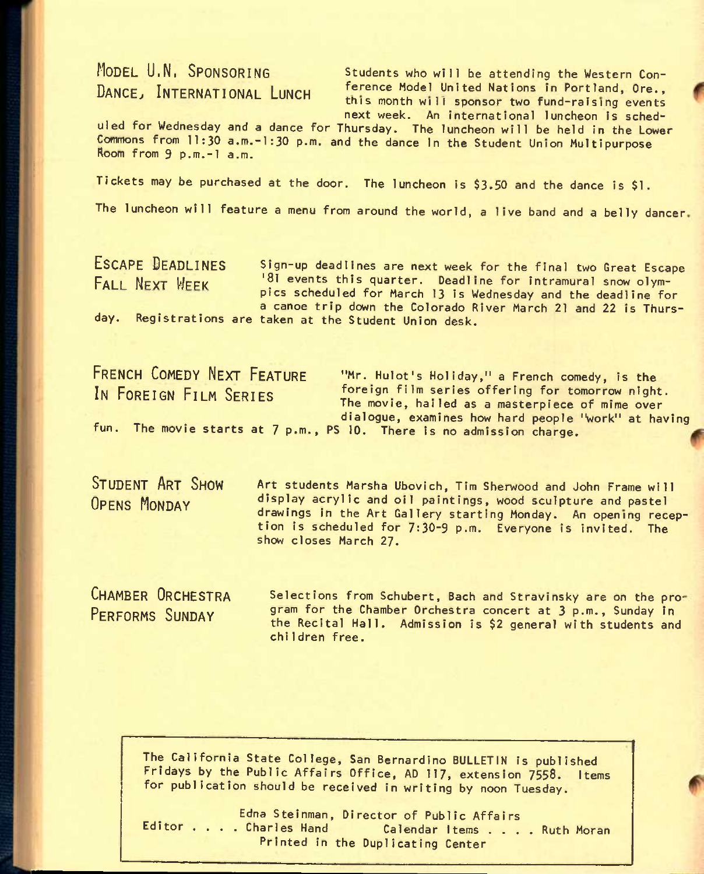MODEL U.N. SPONSORING Students who will be attending the Western Con-DANCE, INTERNATIONAL LUNCH ference Model United Nations in Portland, Ore., **this month will sponsor two fund-raising events next week. An International luncheon Is sched-**

**uled for Wednesday and a dance for Thursday, The luncheon will be held in the Lower**  Commons from 11:30 a.m.-1:30 p.m. and the dance In the Student Union Multipurpose **Room from 9 p.m.-l a.m.** 

**Tickets may be purchased at the door. The luncheon is \$3.50 and the dance is \$1.** 

**The luncheon will feature a menu from around the world, a live band and a belly dancer** 

ESCAPE DEADLINES Sign-up deadlines are next week for the final two Great Escape<br>FALL NEXT WEEK <sup>181</sup> events this quarter. Deadline for intramural snow olym-<sup>18</sup>l events this quarter. Deadline for intramural snow olym**pics scheduled for March 13 Is Wednesday and the deadline for a canoe trip down the Colorado River March 21 and 22 Is Thursday. Registrations are taken at the Student Union desk.** 

FRENCH COMEDY NEXT FEATURE **"Mr. Hulot's Holiday,"** a French comedy, is the IN FOREIGN FILM SERIES **foreign film series offering for tomorrow night. The movie, hailed as a masterpiece of mime over dialogue, examines how hard people "work" at having fun. The movie starts at 7 p.m., PS 10. There is no admission charge.** 

STUDENT ART SHOW Art students Marsha Ubovich, Tim Sherwood and John Frame will <sup>O</sup>PENS MONDAY **display acryllc and oil paintings, wood sculpture and pastel drawings In the Art Gallery starting Monday. An opening reception is scheduled for 7:30-9 p.m. Everyone is invited. The show closes March 27.** 

CHAMBER ORCHESTRA PERFORMS SUNDAY

**Selections from Schubert, Bach and Stravinsky are on the program for the Chamber Orchestra concert at 3 p.m., Sunday In the Recital Hall. Admission is \$2 general with students and chlIdren free.** 

**The California State College, San Bernardino BULLETIN Is published Fridays by the Public Affairs Office, AD 117, extension 7558. Items for publication should be received in writing by noon Tuesday.** 

Edna Steinman, Director of Public Affairs<br>**Editor ....Charles Hand Calendar Items .... Ruth Moran Printed in the Duplicating Center**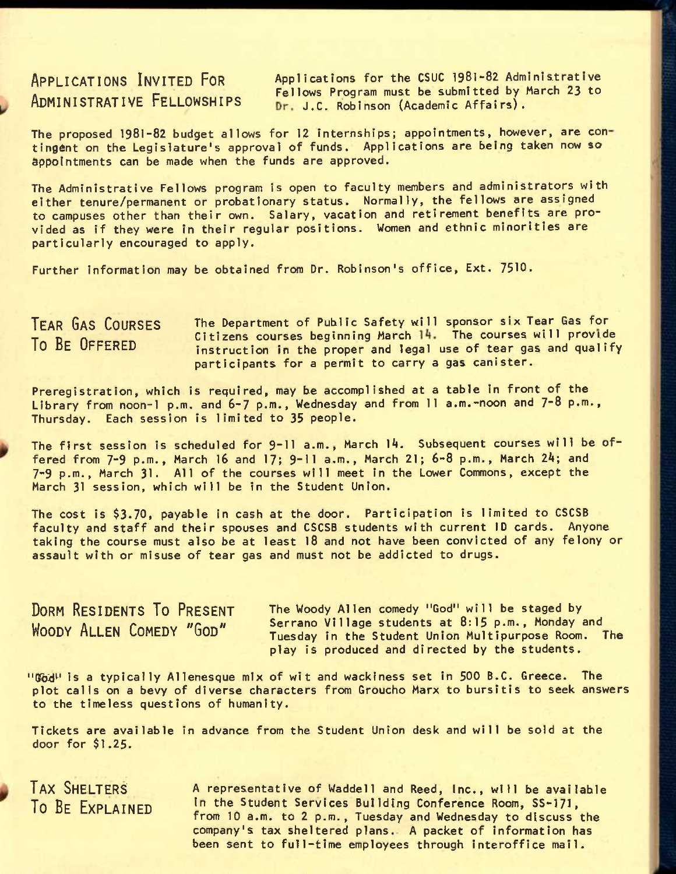APPLICATIONS INVITED FOR Applications for the CSUC 1981-82 Administrative ADMINISTRATIVE FELLOWSHIPS Fellows Program must be submitted by March 23 to Dr. J.C. Robinson (Academic Affairs).

The proposed 1981-82 budget allows for 12 internships; appointments, however, are con tingent on the Legislature's approval of funds. Applications are being taken now so appointments can be made when the funds are approved.

The Administrative Fellows program is open to faculty members and administrators with either tenure/permanent or probationary status. Normally, the fellows are assigned to campuses other than their own. Salary, vacation and retirement benefits are provided as if they were in their regular positions. Women and ethnic minorities are particularly encouraged to apply.

Further information may be obtained from Dr. Robinson's office, Ext. 7510.

The Department of Public Safety will sponsor six Tear Gas for Citizens courses beginning March 14. The courses will provide instruction in the proper and legal use of tear gas and qualify participants for a permit to carry a gas canister. TEAR GAS COURSES To BE OFFERED

Preregistration, which is required, may be accomplished at a table in front of the Library from noon-1 p.m. and 6-7 p.m., Wednesday and from 11 a.m.-noon and 7-8 p.m., Thursday. Each session is limited to 35 people.

The first session is scheduled for 9-11 a.m., March 14. Subsequent courses will be offered from 7-9 p.m., March 16 and 17; 9-11 a.m., March 21; 6-8 p.m., March *2k;* and 7-9 p.m., March 31. All of the courses will meet in the Lower Commons, except the March 31 session, which will be in the Student Union.

The cost is \$3.70, payable in cash at the door. Participation is limited to CSCSB faculty and staff and their spouses and CSCSB students with current ID cards. Anyone taking the course must also be at least 18 and not have been convicted of any felony or assault with or misuse of tear gas and must not be addicted to drugs.

DORM RESIDENTS TO PRESENT WOODY ALLEN COMEDY "GOD"

The Woody Allen comedy "God" will be staged by Serrano Village students at 8:15 p.m., Monday and Tuesday In the Student Union Multipurpose Room. The play is produced and directed by the students.

 $"$ God<sup> $"$ </sup> is a typically Allenesque mix of wit and wackiness set in 500 B.C. Greece. The plot calls on a bevy of diverse characters from Groucho Marx to bursitis to seek answers to the timeless questions of humanity.

Tickets are available in advance from the Student Union desk and will be sold at the door for \$1.25.

TAX SHELTERS To BE EXPLAINED

A representative of Waddell and Reed, Inc., will be available in the Student Services Building Conference Room, SS-I7I, from 10 a.m. to 2 p.m., Tuesday and Wednesday to discuss the company's tax sheltered plans. A packet of information has been sent to full-time employees through interoffice mail.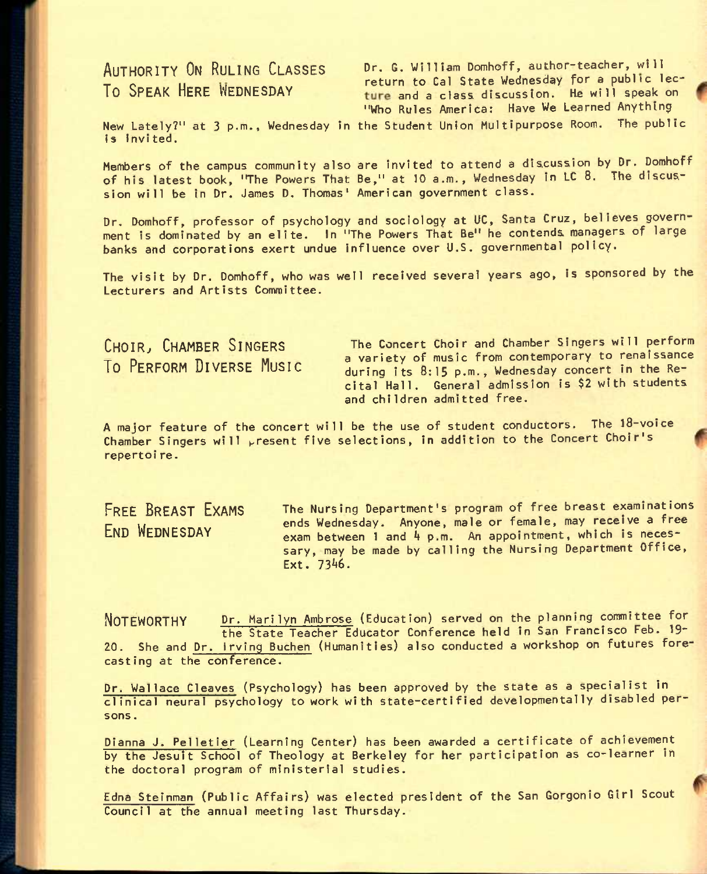AUTHORITY ON RULING CLASSES Dr. G. William Domhoff, author-teacher, will TO , ROLLING CERTIFY THE THE THE TELL THE TELL THE TELL THE TELL THE WEDNESDAY TO GAL STATE MEDICINE THE WILL SPEAK ON ture and a class discussion. He will speak on "Who Rules America: Have We Learned Anything

New Lately?" at 3 p.m., Wednesday In the Student Union Multipurpose Room. The public is invited.

Members of the campus community also are invited to attend a discussion by Dr. Domhoff of his latest book, "The Powers That Be," at 10 a.m., Wednesday in LC 8. The discussion will be in Dr. James D, Thomas' American government class.

Dr. Domhoff, professor of psychology and sociology at UC, Santa Cruz, believes government is dominated by an elite. In "The Powers That Be" he contends managers of large banks and corporations exert undue influence over U.S. governmental policy.

The visit by Dr. Domhoff, who was well received several years ago, is sponsored by the Lecturers and Artists Committee.

CHOIR, CHAMBER SINGERS The Concert Choir and Chamber Singers will perform TO PERFORM DIVERSE MUSIC a variety of music from contemporary to renaissance during its 8:15 p.m., Wednesday concert in the Recital Hall. General admission is \$2 with students and children admitted free.

A major feature of the concert will be the use of student conductors. The 18-voice Chamber Singers will present five selections, in addition to the Concert Choir's repertoi re.

FREE BREAST EXAMS END WEDNESDAY

The Nursing Department's program of free breast examinations ends Wednesday. Anyone, male or female, may receive a free exam between 1 and  $4$  p.m. An appointment, which is necessary, may be made by calling the Nursing Department Office, Ext. 7346.

NOTEWORTHY Dr. Marilyn Ambrose (Education) served on the planning committee for the State Teacher Educator Conference held in San Francisco Feb. 19' 20. She and Dr. irving Buchen (Humanities) also conducted a workshop on futures forecasting at the conference.

Dr. Wallace Cleaves (Psychology) has been approved by the State as a specialist in clinical neural psychology to work with state-certified developmentally disabled persons .

Dianna J. Pelletier (Learning Center) has been awarded a certificate of achievement by the Jesuit School of Theology at Berkeley for her participation as co-learner in the doctoral program of ministerial studies.

Edna Steinman (Public Affairs) was elected president of the San Gorgonio Girl Scout Council at the annual meeting last Thursday.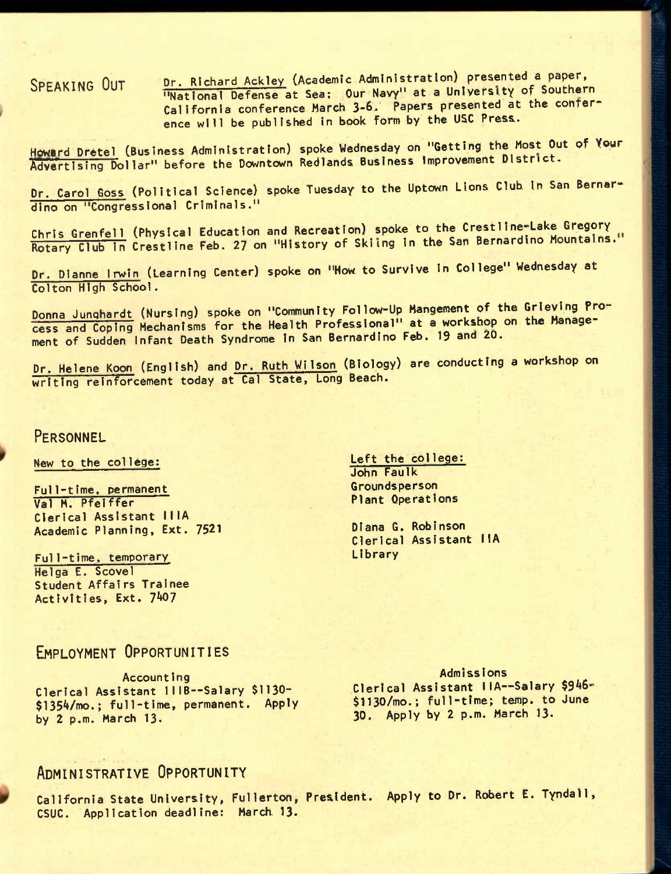SPEAKING OUT Dr. Richard Ackley (Academic Administration) presented a paper, "National Defense at Sea: Our Navy" at a University of Southern California conference March 3-6. Papers presented at the conference will be published In book form by the USC Press.

Howard Dretel (Business Administration) spoke Wednesday on "Getting the Most Out of Your Advertising Dollar" before the Downtown Redlands Business Improvement District.

Dr. Carol Goss (Political Science) spoke Tuesday to the Uptown Lions Club in San Bernardino on "Congressional Criminals."

Chris Grenfell (Physical Education and Recreation) spoke to the Crestline-Lake Gregory Rotary Club in Crestline Feb. 27 on "History of Skiing in the San Bernardino Mountains."

Dr. Dianne Irwin (Learning Center) spoke on "How to Survive In College" Wednesday at Colton High School.

Donna Junghardt (Nursing) spoke on "Community Follow-Up Mangement of the Grieving Process and Coping Mechanisms for the Health Professional" at a workshop on the Management of Sudden Infant Death Syndrome in San Bernardino Feb. 19 and ZO.

Dr. Heiene Koon (English) and Dr. Ruth Wilson (Biology) are conducting a workshop on writing reinforcement today at Cal State, Long Beach.

## **PERSONNEL**

New to the college:

Full-time, permanent Val M. Pfelffer Clerical Assistant 11lA Academic Planning, Ext. 7521

Full-time. temporary Helga E. Scovel Student Affairs Trainee Activities, Ext. 7407

Left the college: John Faulk Groundsperson Plant Operations

Diana G. Robinson Clerical Assistant IIA Library

## EMPLOYMENT OPPORTUNITIES

Accounting Clerical Assistant 111B--Salary \$1130-\$135A/mo.; full-time, permanent. Apply by 2 p.m. March 13.

Admissions Clerical Assistant IIA--Salary \$946-\$1130/mo.; full-time; temp, to June 30. Apply by 2 p.m. March 13.

## ADMINISTRATIVE OPPORTUNITY

California State University, Fullerton, President. Apply to Dr. Robert E. Tyndall, CSUC. Application deadline: March 13-